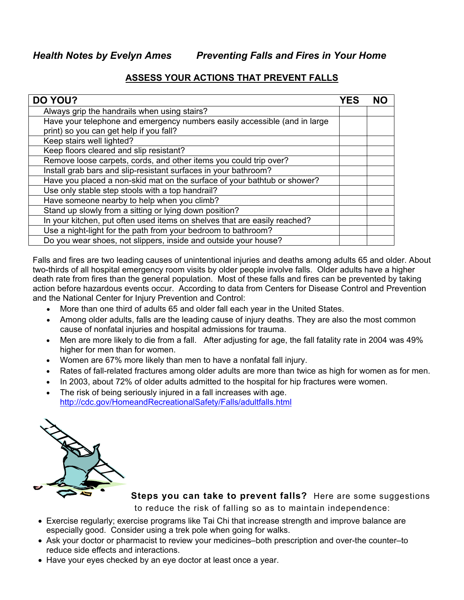*Health Notes by Evelyn Ames Preventing Falls and Fires in Your Home*

## **ASSESS YOUR ACTIONS THAT PREVENT FALLS**

| DO YOU?                                                                   | YES |  |
|---------------------------------------------------------------------------|-----|--|
| Always grip the handrails when using stairs?                              |     |  |
| Have your telephone and emergency numbers easily accessible (and in large |     |  |
| print) so you can get help if you fall?                                   |     |  |
| Keep stairs well lighted?                                                 |     |  |
| Keep floors cleared and slip resistant?                                   |     |  |
| Remove loose carpets, cords, and other items you could trip over?         |     |  |
| Install grab bars and slip-resistant surfaces in your bathroom?           |     |  |
| Have you placed a non-skid mat on the surface of your bathtub or shower?  |     |  |
| Use only stable step stools with a top handrail?                          |     |  |
| Have someone nearby to help when you climb?                               |     |  |
| Stand up slowly from a sitting or lying down position?                    |     |  |
| In your kitchen, put often used items on shelves that are easily reached? |     |  |
| Use a night-light for the path from your bedroom to bathroom?             |     |  |
| Do you wear shoes, not slippers, inside and outside your house?           |     |  |

Falls and fires are two leading causes of unintentional injuries and deaths among adults 65 and older. About two-thirds of all hospital emergency room visits by older people involve falls. Older adults have a higher death rate from fires than the general population. Most of these falls and fires can be prevented by taking action before hazardous events occur. According to data from Centers for Disease Control and Prevention and the National Center for Injury Prevention and Control:

- More than one third of adults 65 and older fall each year in the United States.
- Among older adults, falls are the leading cause of injury deaths. They are also the most common cause of nonfatal injuries and hospital admissions for trauma.
- Men are more likely to die from a fall. After adjusting for age, the fall fatality rate in 2004 was 49% higher for men than for women.
- Women are 67% more likely than men to have a nonfatal fall injury.
- Rates of fall-related fractures among older adults are more than twice as high for women as for men.
- In 2003, about 72% of older adults admitted to the hospital for hip fractures were women.
- The risk of being seriously injured in a fall increases with age. http://cdc.gov/HomeandRecreationalSafety/Falls/adultfalls.html



 **Steps you can take to prevent falls?** Here are some suggestions to reduce the risk of falling so as to maintain independence:

- Exercise regularly; exercise programs like Tai Chi that increase strength and improve balance are especially good. Consider using a trek pole when going for walks.
- Ask your doctor or pharmacist to review your medicines–both prescription and over-the counter–to reduce side effects and interactions.
- Have your eyes checked by an eye doctor at least once a year.